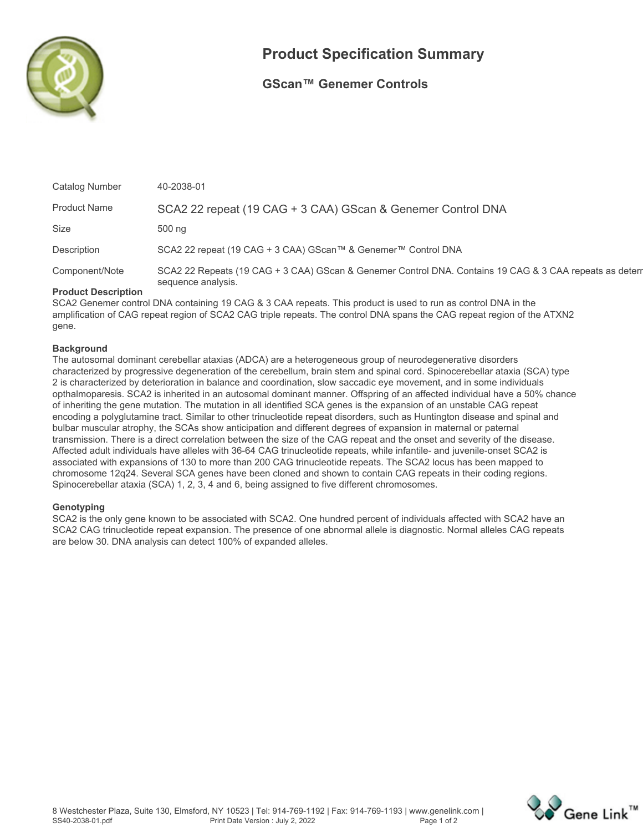

# **Product Specification Summary**

### **GScan™ Genemer Controls**

| Catalog Number             | 40-2038-01                                                                                              |
|----------------------------|---------------------------------------------------------------------------------------------------------|
| <b>Product Name</b>        | SCA2 22 repeat (19 CAG + 3 CAA) GScan & Genemer Control DNA                                             |
| <b>Size</b>                | 500 ng                                                                                                  |
| Description                | SCA2 22 repeat (19 CAG + 3 CAA) GScan™ & Genemer™ Control DNA                                           |
| Component/Note             | SCA2 22 Repeats (19 CAG + 3 CAA) GScan & Genemer Control DNA. Contains 19 CAG & 3 CAA repeats as detern |
| <b>Draduat Deparintion</b> | sequence analysis.                                                                                      |

#### **Product Description**

**SCA2 Genemer control DNA containing 19 CAG & 3 CAA repeats. This product is used to run as control DNA in the amplification of CAG repeat region of SCA2 CAG triple repeats. The control DNA spans the CAG repeat region of the ATXN2 gene.**

#### **Background**

**The autosomal dominant cerebellar ataxias (ADCA) are a heterogeneous group of neurodegenerative disorders characterized by progressive degeneration of the cerebellum, brain stem and spinal cord. Spinocerebellar ataxia (SCA) type 2 is characterized by deterioration in balance and coordination, slow saccadic eye movement, and in some individuals opthalmoparesis. SCA2 is inherited in an autosomal dominant manner. Offspring of an affected individual have a 50% chance of inheriting the gene mutation. The mutation in all identified SCA genes is the expansion of an unstable CAG repeat encoding a polyglutamine tract. Similar to other trinucleotide repeat disorders, such as Huntington disease and spinal and bulbar muscular atrophy, the SCAs show anticipation and different degrees of expansion in maternal or paternal transmission. There is a direct correlation between the size of the CAG repeat and the onset and severity of the disease. Affected adult individuals have alleles with 36-64 CAG trinucleotide repeats, while infantile- and juvenile-onset SCA2 is associated with expansions of 130 to more than 200 CAG trinucleotide repeats. The SCA2 locus has been mapped to chromosome 12q24. Several SCA genes have been cloned and shown to contain CAG repeats in their coding regions. Spinocerebellar ataxia (SCA) 1, 2, 3, 4 and 6, being assigned to five different chromosomes.**

#### **Genotyping**

**SCA2 is the only gene known to be associated with SCA2. One hundred percent of individuals affected with SCA2 have an SCA2 CAG trinucleotide repeat expansion. The presence of one abnormal allele is diagnostic. Normal alleles CAG repeats are below 30. DNA analysis can detect 100% of expanded alleles.**